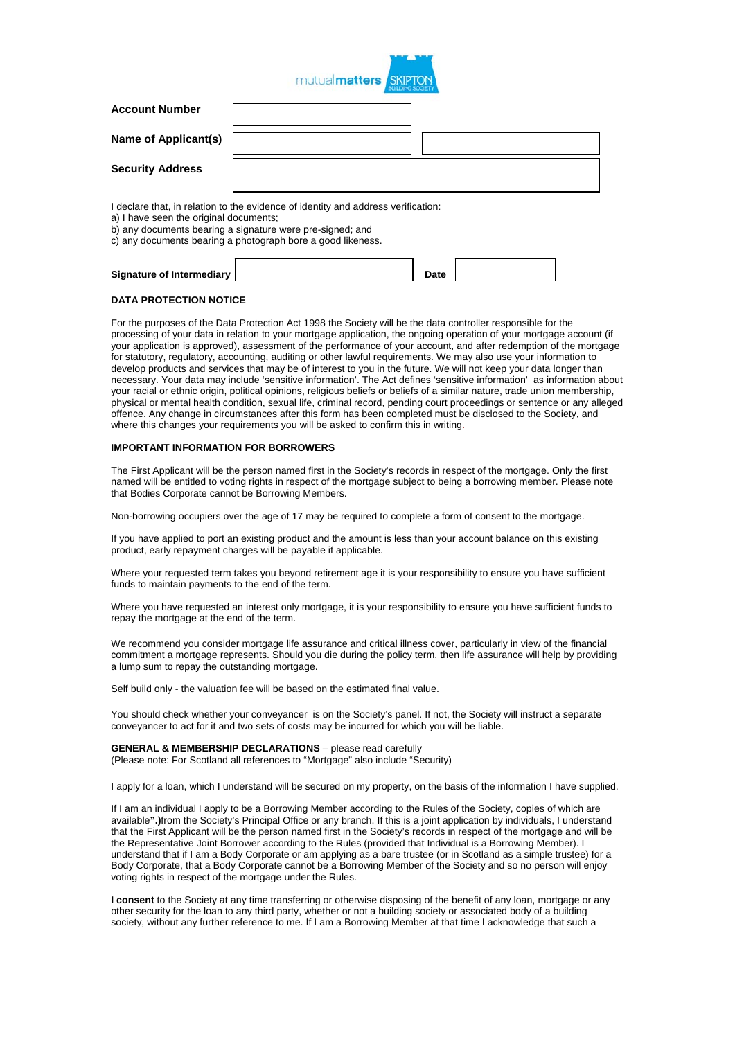

| <b>Account Number</b>                  |                                                                                                                                                                                                               |
|----------------------------------------|---------------------------------------------------------------------------------------------------------------------------------------------------------------------------------------------------------------|
| Name of Applicant(s)                   |                                                                                                                                                                                                               |
| <b>Security Address</b>                |                                                                                                                                                                                                               |
| a) I have seen the original documents; | I declare that, in relation to the evidence of identity and address verification:<br>b) any documents bearing a signature were pre-signed; and<br>c) any documents bearing a photograph bore a good likeness. |

# **Signature of Intermediary Date**

### **DATA PROTECTION NOTICE**

For the purposes of the Data Protection Act 1998 the Society will be the data controller responsible for the processing of your data in relation to your mortgage application, the ongoing operation of your mortgage account (if your application is approved), assessment of the performance of your account, and after redemption of the mortgage for statutory, regulatory, accounting, auditing or other lawful requirements. We may also use your information to develop products and services that may be of interest to you in the future. We will not keep your data longer than necessary. Your data may include 'sensitive information'. The Act defines 'sensitive information' as information about your racial or ethnic origin, political opinions, religious beliefs or beliefs of a similar nature, trade union membership, physical or mental health condition, sexual life, criminal record, pending court proceedings or sentence or any alleged offence. Any change in circumstances after this form has been completed must be disclosed to the Society, and where this changes your requirements you will be asked to confirm this in writing.

## **IMPORTANT INFORMATION FOR BORROWERS**

The First Applicant will be the person named first in the Society's records in respect of the mortgage. Only the first named will be entitled to voting rights in respect of the mortgage subject to being a borrowing member. Please note that Bodies Corporate cannot be Borrowing Members.

Non-borrowing occupiers over the age of 17 may be required to complete a form of consent to the mortgage.

If you have applied to port an existing product and the amount is less than your account balance on this existing product, early repayment charges will be payable if applicable.

Where your requested term takes you beyond retirement age it is your responsibility to ensure you have sufficient funds to maintain payments to the end of the term.

Where you have requested an interest only mortgage, it is your responsibility to ensure you have sufficient funds to repay the mortgage at the end of the term.

We recommend you consider mortgage life assurance and critical illness cover, particularly in view of the financial commitment a mortgage represents. Should you die during the policy term, then life assurance will help by providing a lump sum to repay the outstanding mortgage.

Self build only - the valuation fee will be based on the estimated final value.

You should check whether your conveyancer is on the Society's panel. If not, the Society will instruct a separate conveyancer to act for it and two sets of costs may be incurred for which you will be liable.

**GENERAL & MEMBERSHIP DECLARATIONS** – please read carefully

(Please note: For Scotland all references to "Mortgage" also include "Security)

I apply for a loan, which I understand will be secured on my property, on the basis of the information I have supplied.

If I am an individual I apply to be a Borrowing Member according to the Rules of the Society, copies of which are available**".)**from the Society's Principal Office or any branch. If this is a joint application by individuals, I understand that the First Applicant will be the person named first in the Society's records in respect of the mortgage and will be the Representative Joint Borrower according to the Rules (provided that Individual is a Borrowing Member). I understand that if I am a Body Corporate or am applying as a bare trustee (or in Scotland as a simple trustee) for a Body Corporate, that a Body Corporate cannot be a Borrowing Member of the Society and so no person will enjoy voting rights in respect of the mortgage under the Rules.

**I consent** to the Society at any time transferring or otherwise disposing of the benefit of any loan, mortgage or any other security for the loan to any third party, whether or not a building society or associated body of a building society, without any further reference to me. If I am a Borrowing Member at that time I acknowledge that such a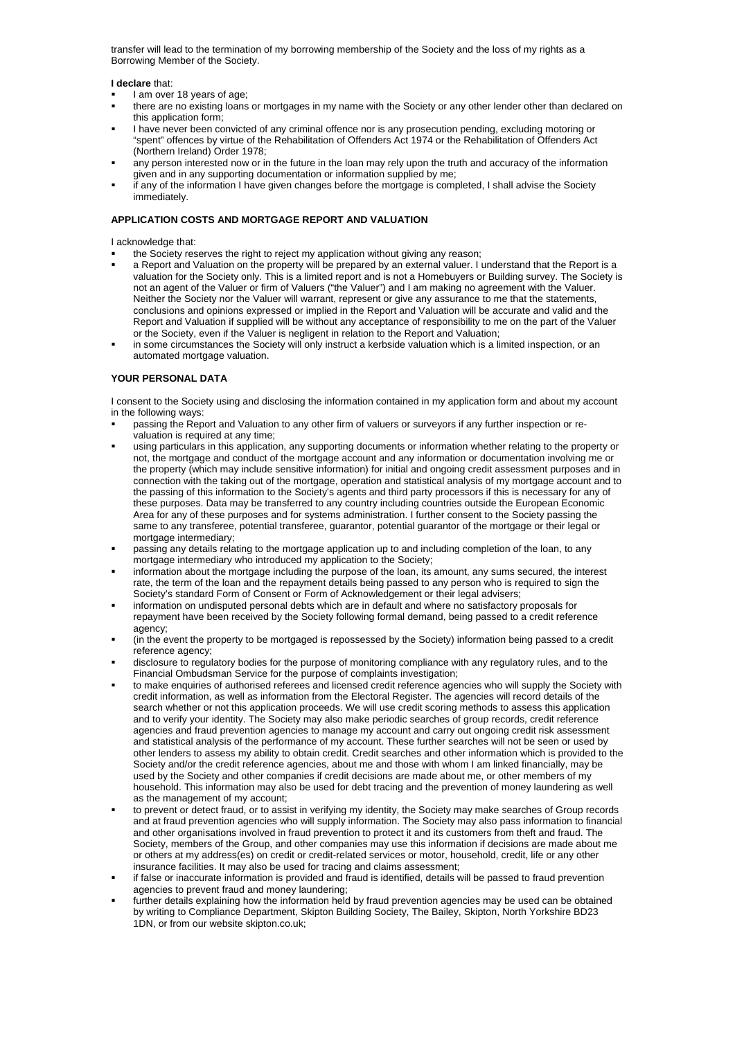transfer will lead to the termination of my borrowing membership of the Society and the loss of my rights as a Borrowing Member of the Society.

#### **I declare** that:

- I am over 18 years of age;
- there are no existing loans or mortgages in my name with the Society or any other lender other than declared on this application form;
- I have never been convicted of any criminal offence nor is any prosecution pending, excluding motoring or "spent" offences by virtue of the Rehabilitation of Offenders Act 1974 or the Rehabilitation of Offenders Act (Northern Ireland) Order 1978;
- any person interested now or in the future in the loan may rely upon the truth and accuracy of the information given and in any supporting documentation or information supplied by me;
- if any of the information I have given changes before the mortgage is completed, I shall advise the Society immediately.

## **APPLICATION COSTS AND MORTGAGE REPORT AND VALUATION**

I acknowledge that:

- the Society reserves the right to reject my application without giving any reason;
- a Report and Valuation on the property will be prepared by an external valuer. I understand that the Report is a valuation for the Society only. This is a limited report and is not a Homebuyers or Building survey. The Society is not an agent of the Valuer or firm of Valuers ("the Valuer") and I am making no agreement with the Valuer. Neither the Society nor the Valuer will warrant, represent or give any assurance to me that the statements, conclusions and opinions expressed or implied in the Report and Valuation will be accurate and valid and the Report and Valuation if supplied will be without any acceptance of responsibility to me on the part of the Valuer or the Society, even if the Valuer is negligent in relation to the Report and Valuation;
- in some circumstances the Society will only instruct a kerbside valuation which is a limited inspection, or an automated mortgage valuation.

## **YOUR PERSONAL DATA**

I consent to the Society using and disclosing the information contained in my application form and about my account in the following ways:

- passing the Report and Valuation to any other firm of valuers or surveyors if any further inspection or revaluation is required at any time;
- using particulars in this application, any supporting documents or information whether relating to the property or not, the mortgage and conduct of the mortgage account and any information or documentation involving me or the property (which may include sensitive information) for initial and ongoing credit assessment purposes and in connection with the taking out of the mortgage, operation and statistical analysis of my mortgage account and to the passing of this information to the Society's agents and third party processors if this is necessary for any of these purposes. Data may be transferred to any country including countries outside the European Economic Area for any of these purposes and for systems administration. I further consent to the Society passing the same to any transferee, potential transferee, guarantor, potential guarantor of the mortgage or their legal or mortgage intermediary;
- passing any details relating to the mortgage application up to and including completion of the loan, to any mortgage intermediary who introduced my application to the Society;
- information about the mortgage including the purpose of the loan, its amount, any sums secured, the interest rate, the term of the loan and the repayment details being passed to any person who is required to sign the Society's standard Form of Consent or Form of Acknowledgement or their legal advisers;
- information on undisputed personal debts which are in default and where no satisfactory proposals for repayment have been received by the Society following formal demand, being passed to a credit reference agency;
- (in the event the property to be mortgaged is repossessed by the Society) information being passed to a credit reference agency;
- disclosure to regulatory bodies for the purpose of monitoring compliance with any regulatory rules, and to the Financial Ombudsman Service for the purpose of complaints investigation;
- to make enquiries of authorised referees and licensed credit reference agencies who will supply the Society with credit information, as well as information from the Electoral Register. The agencies will record details of the search whether or not this application proceeds. We will use credit scoring methods to assess this application and to verify your identity. The Society may also make periodic searches of group records, credit reference agencies and fraud prevention agencies to manage my account and carry out ongoing credit risk assessment and statistical analysis of the performance of my account. These further searches will not be seen or used by other lenders to assess my ability to obtain credit. Credit searches and other information which is provided to the Society and/or the credit reference agencies, about me and those with whom I am linked financially, may be used by the Society and other companies if credit decisions are made about me, or other members of my household. This information may also be used for debt tracing and the prevention of money laundering as well as the management of my account;
- to prevent or detect fraud, or to assist in verifying my identity, the Society may make searches of Group records and at fraud prevention agencies who will supply information. The Society may also pass information to financial and other organisations involved in fraud prevention to protect it and its customers from theft and fraud. The Society, members of the Group, and other companies may use this information if decisions are made about me or others at my address(es) on credit or credit-related services or motor, household, credit, life or any other insurance facilities. It may also be used for tracing and claims assessment;
- if false or inaccurate information is provided and fraud is identified, details will be passed to fraud prevention agencies to prevent fraud and money laundering;
- further details explaining how the information held by fraud prevention agencies may be used can be obtained by writing to Compliance Department, Skipton Building Society, The Bailey, Skipton, North Yorkshire BD23 1DN, or from our website skipton.co.uk;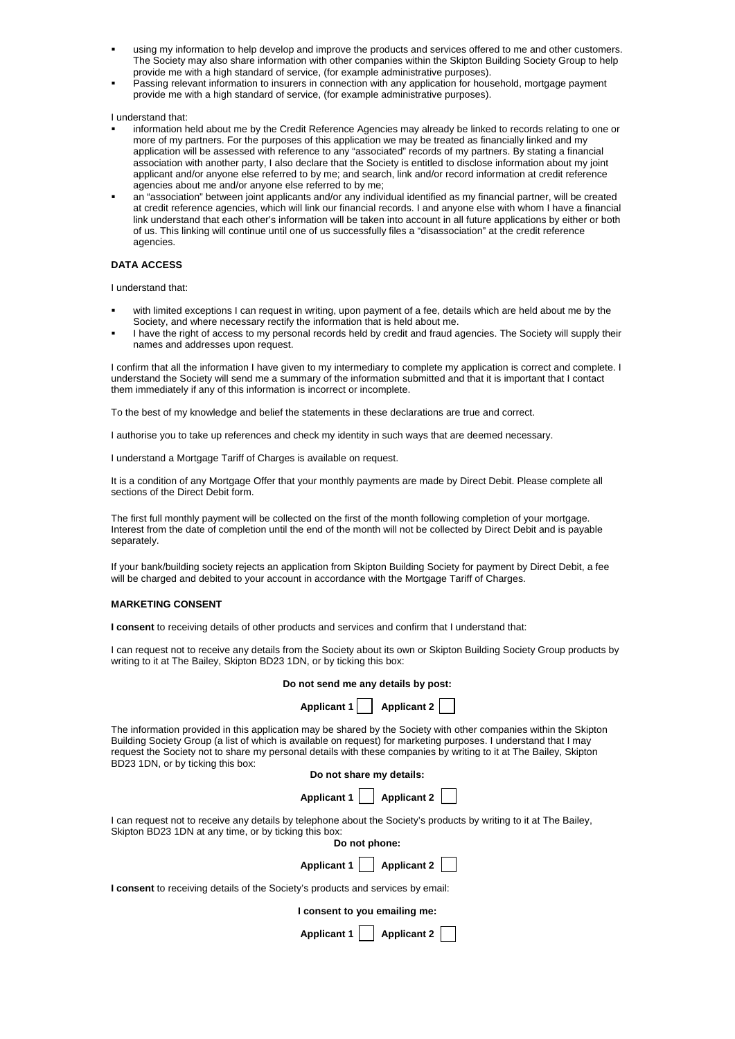- using my information to help develop and improve the products and services offered to me and other customers. The Society may also share information with other companies within the Skipton Building Society Group to help provide me with a high standard of service, (for example administrative purposes).
- Passing relevant information to insurers in connection with any application for household, mortgage payment provide me with a high standard of service, (for example administrative purposes).

I understand that:

- information held about me by the Credit Reference Agencies may already be linked to records relating to one or more of my partners. For the purposes of this application we may be treated as financially linked and my application will be assessed with reference to any "associated" records of my partners. By stating a financial association with another party, I also declare that the Society is entitled to disclose information about my joint applicant and/or anyone else referred to by me; and search, link and/or record information at credit reference agencies about me and/or anyone else referred to by me;
- an "association" between joint applicants and/or any individual identified as my financial partner, will be created at credit reference agencies, which will link our financial records. I and anyone else with whom I have a financial link understand that each other's information will be taken into account in all future applications by either or both of us. This linking will continue until one of us successfully files a "disassociation" at the credit reference agencies.

## **DATA ACCESS**

I understand that:

- with limited exceptions I can request in writing, upon payment of a fee, details which are held about me by the Society, and where necessary rectify the information that is held about me.
- I have the right of access to my personal records held by credit and fraud agencies. The Society will supply their names and addresses upon request.

I confirm that all the information I have given to my intermediary to complete my application is correct and complete. I understand the Society will send me a summary of the information submitted and that it is important that I contact them immediately if any of this information is incorrect or incomplete.

To the best of my knowledge and belief the statements in these declarations are true and correct.

I authorise you to take up references and check my identity in such ways that are deemed necessary.

I understand a Mortgage Tariff of Charges is available on request.

It is a condition of any Mortgage Offer that your monthly payments are made by Direct Debit. Please complete all sections of the Direct Debit form.

The first full monthly payment will be collected on the first of the month following completion of your mortgage. Interest from the date of completion until the end of the month will not be collected by Direct Debit and is payable separately.

If your bank/building society rejects an application from Skipton Building Society for payment by Direct Debit, a fee will be charged and debited to your account in accordance with the Mortgage Tariff of Charges.

#### **MARKETING CONSENT**

**I consent** to receiving details of other products and services and confirm that I understand that:

I can request not to receive any details from the Society about its own or Skipton Building Society Group products by writing to it at The Bailey, Skipton BD23 1DN, or by ticking this box:

| Do not send me any details by post: |  |
|-------------------------------------|--|
|-------------------------------------|--|

| Applicant 1 | $\vert$ Applicant 2 $\vert$ |
|-------------|-----------------------------|
|-------------|-----------------------------|

The information provided in this application may be shared by the Society with other companies within the Skipton Building Society Group (a list of which is available on request) for marketing purposes. I understand that I may request the Society not to share my personal details with these companies by writing to it at The Bailey, Skipton BD23 1DN, or by ticking this box:

| Do not share my details: |                                         |  |  |
|--------------------------|-----------------------------------------|--|--|
|                          | Applicant 1   $\Box$ Applicant 2 $\Box$ |  |  |

I can request not to receive any details by telephone about the Society's products by writing to it at The Bailey, Skipton BD23 1DN at any time, or by ticking this box:

|  | Do not phone: |
|--|---------------|
|--|---------------|



**I consent** to receiving details of the Society's products and services by email:

| I consent to you emailing me: |  |
|-------------------------------|--|
|-------------------------------|--|

| <b>Applicant 1</b> |  | <b>Applicant 2</b> |  |  |
|--------------------|--|--------------------|--|--|
|--------------------|--|--------------------|--|--|